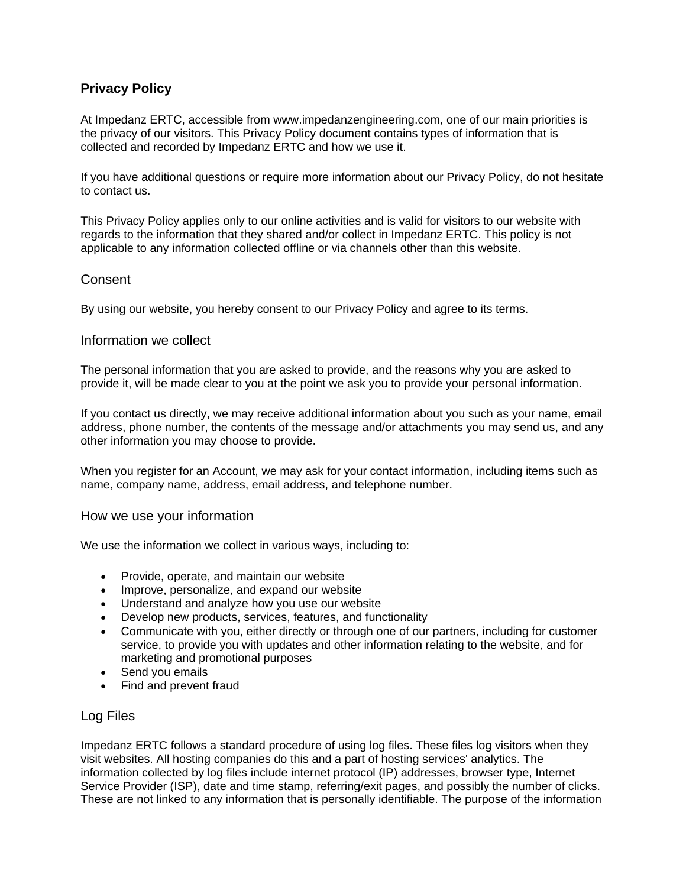# **Privacy Policy**

At Impedanz ERTC, accessible from www.impedanzengineering.com, one of our main priorities is the privacy of our visitors. This Privacy Policy document contains types of information that is collected and recorded by Impedanz ERTC and how we use it.

If you have additional questions or require more information about our Privacy Policy, do not hesitate to contact us.

This Privacy Policy applies only to our online activities and is valid for visitors to our website with regards to the information that they shared and/or collect in Impedanz ERTC. This policy is not applicable to any information collected offline or via channels other than this website.

# **Consent**

By using our website, you hereby consent to our Privacy Policy and agree to its terms.

## Information we collect

The personal information that you are asked to provide, and the reasons why you are asked to provide it, will be made clear to you at the point we ask you to provide your personal information.

If you contact us directly, we may receive additional information about you such as your name, email address, phone number, the contents of the message and/or attachments you may send us, and any other information you may choose to provide.

When you register for an Account, we may ask for your contact information, including items such as name, company name, address, email address, and telephone number.

#### How we use your information

We use the information we collect in various ways, including to:

- Provide, operate, and maintain our website
- Improve, personalize, and expand our website
- Understand and analyze how you use our website
- Develop new products, services, features, and functionality
- Communicate with you, either directly or through one of our partners, including for customer service, to provide you with updates and other information relating to the website, and for marketing and promotional purposes
- Send you emails
- Find and prevent fraud

# Log Files

Impedanz ERTC follows a standard procedure of using log files. These files log visitors when they visit websites. All hosting companies do this and a part of hosting services' analytics. The information collected by log files include internet protocol (IP) addresses, browser type, Internet Service Provider (ISP), date and time stamp, referring/exit pages, and possibly the number of clicks. These are not linked to any information that is personally identifiable. The purpose of the information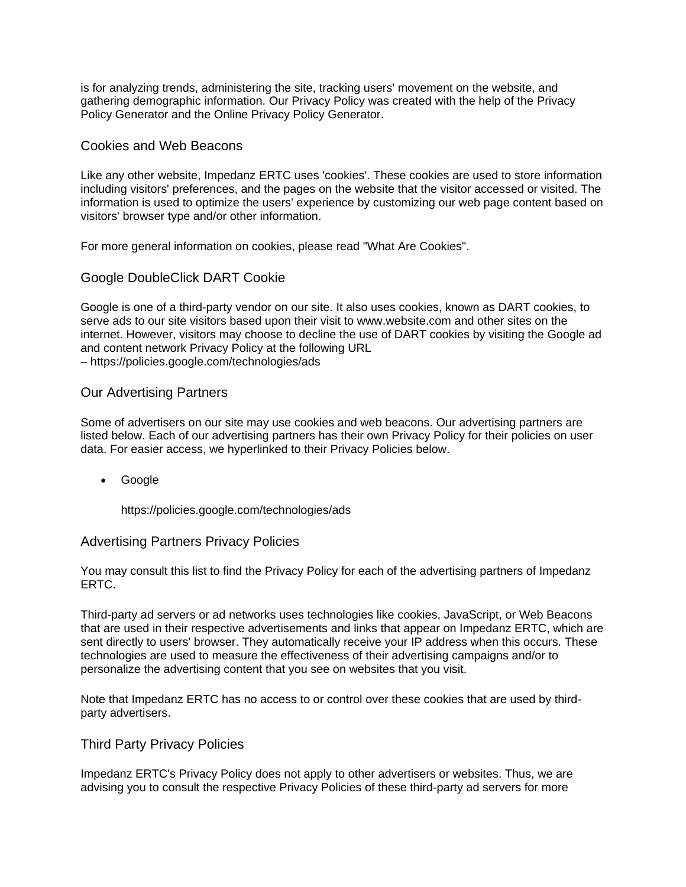is for analyzing trends, administering the site, tracking users' movement on the website, and gathering demographic information. Our Privacy Policy was created with the help of the [Privacy](https://www.privacypolicygenerator.info/)  [Policy Generator](https://www.privacypolicygenerator.info/) and the [Online Privacy Policy Generator.](https://www.privacypolicyonline.com/privacy-policy-generator/)

## Cookies and Web Beacons

Like any other website, Impedanz ERTC uses 'cookies'. These cookies are used to store information including visitors' preferences, and the pages on the website that the visitor accessed or visited. The information is used to optimize the users' experience by customizing our web page content based on visitors' browser type and/or other information.

For more general information on cookies, please read ["What Are Cookies".](https://www.cookieconsent.com/what-are-cookies/)

## Google DoubleClick DART Cookie

Google is one of a third-party vendor on our site. It also uses cookies, known as DART cookies, to serve ads to our site visitors based upon their visit to www.website.com and other sites on the internet. However, visitors may choose to decline the use of DART cookies by visiting the Google ad and content network Privacy Policy at the following URL – <https://policies.google.com/technologies/ads>

## Our Advertising Partners

Some of advertisers on our site may use cookies and web beacons. Our advertising partners are listed below. Each of our advertising partners has their own Privacy Policy for their policies on user data. For easier access, we hyperlinked to their Privacy Policies below.

Google

<https://policies.google.com/technologies/ads>

#### Advertising Partners Privacy Policies

You may consult this list to find the Privacy Policy for each of the advertising partners of Impedanz ERTC.

Third-party ad servers or ad networks uses technologies like cookies, JavaScript, or Web Beacons that are used in their respective advertisements and links that appear on Impedanz ERTC, which are sent directly to users' browser. They automatically receive your IP address when this occurs. These technologies are used to measure the effectiveness of their advertising campaigns and/or to personalize the advertising content that you see on websites that you visit.

Note that Impedanz ERTC has no access to or control over these cookies that are used by thirdparty advertisers.

#### Third Party Privacy Policies

Impedanz ERTC's Privacy Policy does not apply to other advertisers or websites. Thus, we are advising you to consult the respective Privacy Policies of these third-party ad servers for more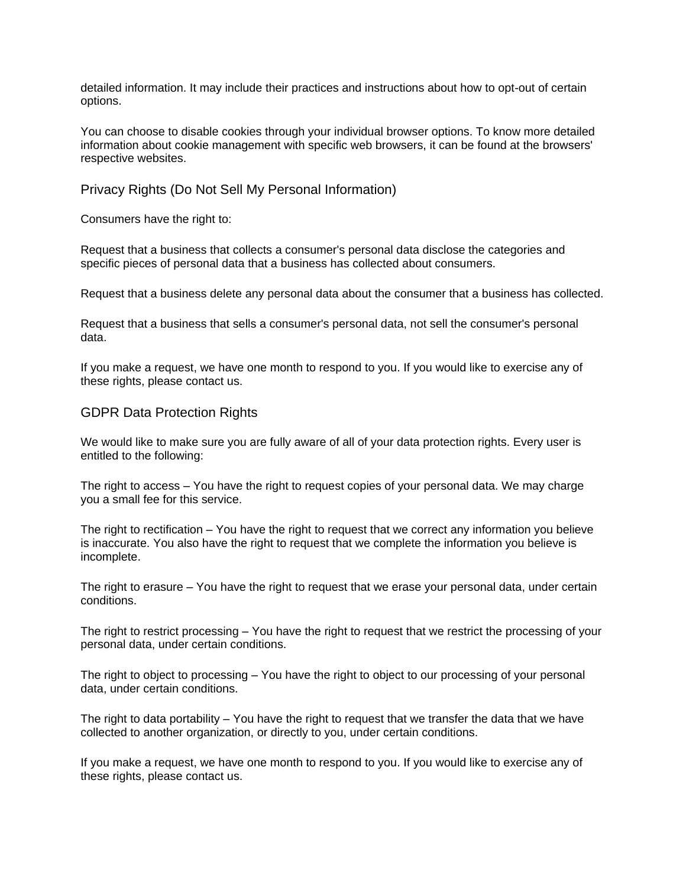detailed information. It may include their practices and instructions about how to opt-out of certain options.

You can choose to disable cookies through your individual browser options. To know more detailed information about cookie management with specific web browsers, it can be found at the browsers' respective websites.

## Privacy Rights (Do Not Sell My Personal Information)

Consumers have the right to:

Request that a business that collects a consumer's personal data disclose the categories and specific pieces of personal data that a business has collected about consumers.

Request that a business delete any personal data about the consumer that a business has collected.

Request that a business that sells a consumer's personal data, not sell the consumer's personal data.

If you make a request, we have one month to respond to you. If you would like to exercise any of these rights, please contact us.

## GDPR Data Protection Rights

We would like to make sure you are fully aware of all of your data protection rights. Every user is entitled to the following:

The right to access – You have the right to request copies of your personal data. We may charge you a small fee for this service.

The right to rectification – You have the right to request that we correct any information you believe is inaccurate. You also have the right to request that we complete the information you believe is incomplete.

The right to erasure – You have the right to request that we erase your personal data, under certain conditions.

The right to restrict processing – You have the right to request that we restrict the processing of your personal data, under certain conditions.

The right to object to processing – You have the right to object to our processing of your personal data, under certain conditions.

The right to data portability – You have the right to request that we transfer the data that we have collected to another organization, or directly to you, under certain conditions.

If you make a request, we have one month to respond to you. If you would like to exercise any of these rights, please contact us.